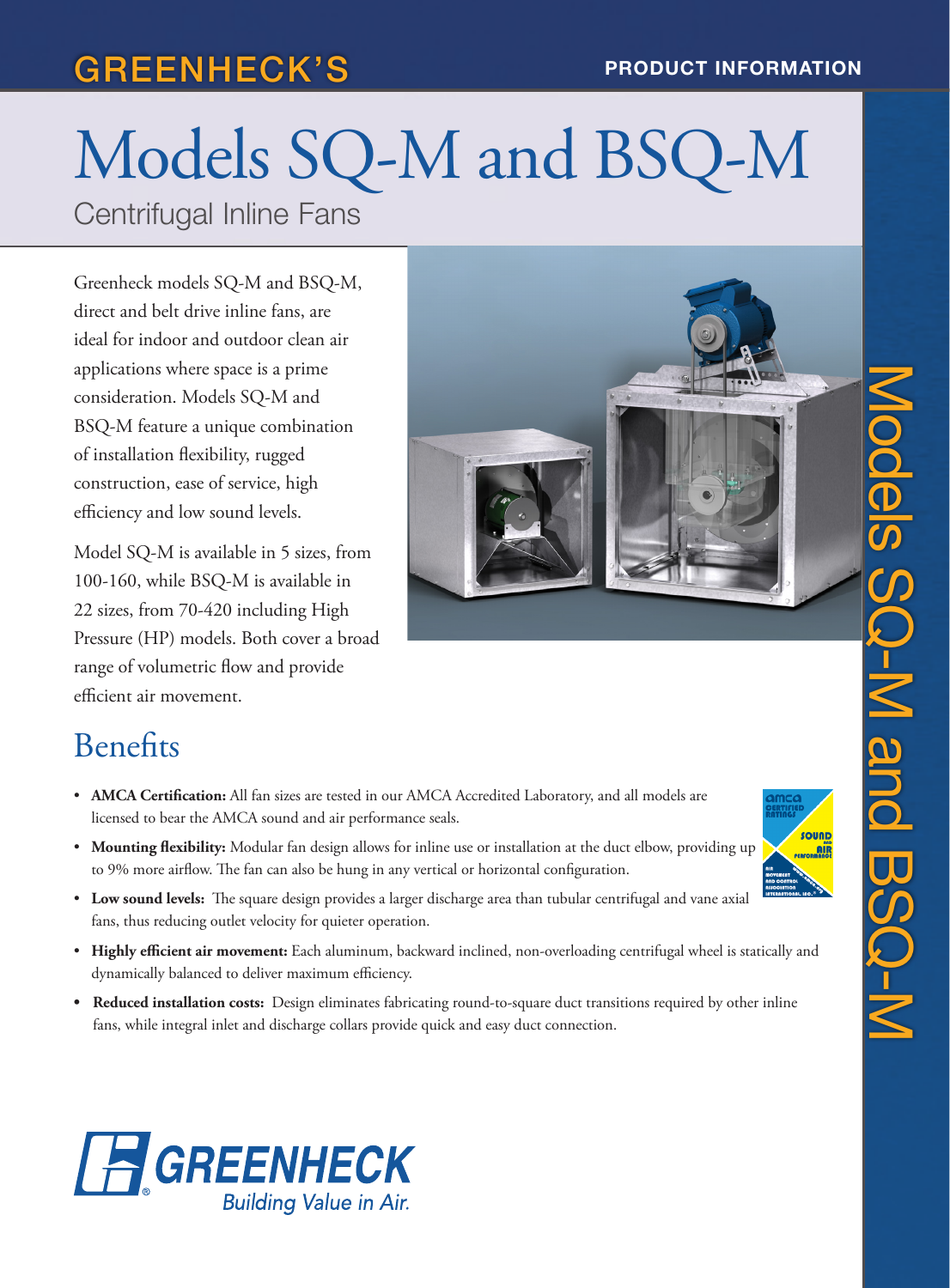# GREENHECK'S PRODUCT INFORMATION

# Models SQ-M and BSQ-M Centrifugal Inline Fans

Greenheck models SQ-M and BSQ-M, direct and belt drive inline fans, are ideal for indoor and outdoor clean air applications where space is a prime consideration. Models SQ-M and BSQ-M feature a unique combination of installation flexibility, rugged construction, ease of service, high efficiency and low sound levels.

Model SQ-M is available in 5 sizes, from 100-160, while BSQ-M is available in 22 sizes, from 70-420 including High Pressure (HP) models. Both cover a broad range of volumetric flow and provide efficient air movement.



### **Benefits**

- **AMCA Certification:** All fan sizes are tested in our AMCA Accredited Laboratory, and all models are licensed to bear the AMCA sound and air performance seals.
- **Mounting flexibility:** Modular fan design allows for inline use or installation at the duct elbow, providing up to 9% more airflow. The fan can also be hung in any vertical or horizontal configuration.
- **Low sound levels:** The square design provides a larger discharge area than tubular centrifugal and vane axial fans, thus reducing outlet velocity for quieter operation.
- **Highly efficient air movement:** Each aluminum, backward inclined, non-overloading centrifugal wheel is statically and dynamically balanced to deliver maximum efficiency.
- **• Reduced installation costs:** Design eliminates fabricating round-to-square duct transitions required by other inline fans, while integral inlet and discharge collars provide quick and easy duct connection.